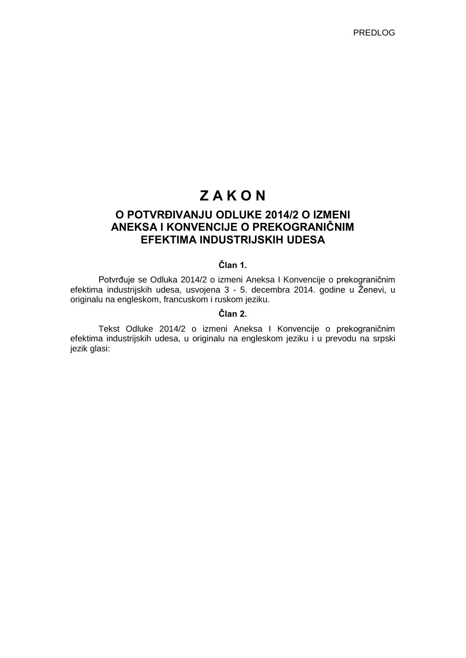# **Z A K O N**

# **O POTVRĐIVANJU ODLUKE 2014/2 O IZMENI ANEKSA I KONVENCIJE O PREKOGRANIČNIM EFEKTIMA INDUSTRIJSKIH UDESA**

# **Član 1.**

Potvrđuje se Odluka 2014/2 o izmeni Aneksa I Konvencije o prekograničnim efektima industrijskih udesa, usvojena 3 - 5. decembra 2014. godine u Ženevi, u originalu na engleskom, francuskom i ruskom jeziku.

# **Član 2.**

Tekst Odluke 2014/2 o izmeni Aneksa I Konvencije o prekograničnim efektima industrijskih udesa, u originalu na engleskom jeziku i u prevodu na srpski jezik glasi: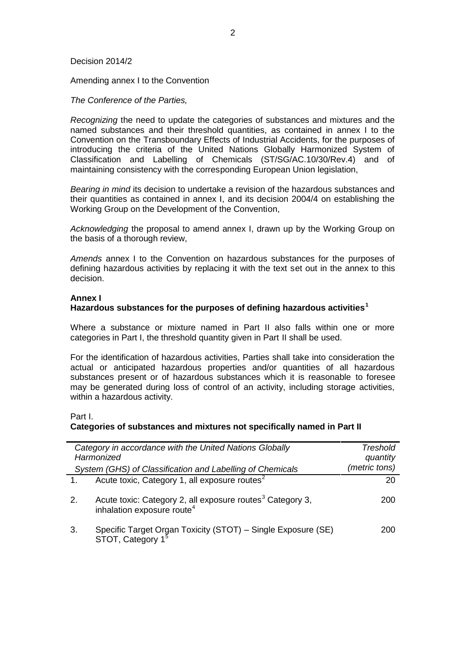#### Decision 2014/2

Amending annex I to the Convention

*The Conference of the Parties,*

*Recognizing* the need to update the categories of substances and mixtures and the named substances and their threshold quantities, as contained in annex I to the Convention on the Transboundary Effects of Industrial Accidents, for the purposes of introducing the criteria of the United Nations Globally Harmonized System of Classification and Labelling of Chemicals (ST/SG/AC.10/30/Rev.4) and of maintaining consistency with the corresponding European Union legislation,

*Bearing in mind* its decision to undertake a revision of the hazardous substances and their quantities as contained in annex I, and its decision 2004/4 on establishing the Working Group on the Development of the Convention,

*Acknowledging* the proposal to amend annex I, drawn up by the Working Group on the basis of a thorough review,

*Amends* annex I to the Convention on hazardous substances for the purposes of defining hazardous activities by replacing it with the text set out in the annex to this decision.

#### **Annex I**

#### **Hazardous substances for the purposes of defining hazardous activities<sup>1</sup>**

Where a substance or mixture named in Part II also falls within one or more categories in Part I, the threshold quantity given in Part II shall be used.

For the identification of hazardous activities, Parties shall take into consideration the actual or anticipated hazardous properties and/or quantities of all hazardous substances present or of hazardous substances which it is reasonable to foresee may be generated during loss of control of an activity, including storage activities, within a hazardous activity.

Part I.

#### **Categories of substances and mixtures not specifically named in Part II**

|    | Category in accordance with the United Nations Globally<br>Harmonized                                           | Treshold<br>quantity |
|----|-----------------------------------------------------------------------------------------------------------------|----------------------|
|    | System (GHS) of Classification and Labelling of Chemicals                                                       | (metric tons)        |
|    | Acute toxic, Category 1, all exposure routes <sup>2</sup>                                                       | 20                   |
| 2. | Acute toxic: Category 2, all exposure routes <sup>3</sup> Category 3,<br>inhalation exposure route <sup>4</sup> | 200                  |
| 3. | Specific Target Organ Toxicity (STOT) – Single Exposure (SE)<br>STOT, Category 1 <sup>5</sup>                   | 200                  |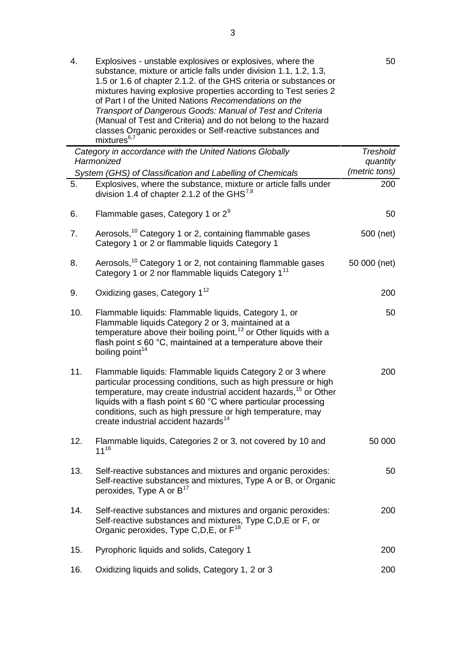|     | 1.5 or 1.6 of chapter 2.1.2. of the GHS criteria or substances or<br>mixtures having explosive properties according to Test series 2<br>of Part I of the United Nations Recomendations on the<br>Transport of Dangerous Goods: Manual of Test and Criteria<br>(Manual of Test and Criteria) and do not belong to the hazard<br>classes Organic peroxides or Self-reactive substances and<br>mixtures <sup>6,7</sup> |                           |
|-----|---------------------------------------------------------------------------------------------------------------------------------------------------------------------------------------------------------------------------------------------------------------------------------------------------------------------------------------------------------------------------------------------------------------------|---------------------------|
|     | Category in accordance with the United Nations Globally                                                                                                                                                                                                                                                                                                                                                             | <b>Treshold</b>           |
|     | Harmonized                                                                                                                                                                                                                                                                                                                                                                                                          | quantity<br>(metric tons) |
| 5.  | System (GHS) of Classification and Labelling of Chemicals<br>Explosives, where the substance, mixture or article falls under<br>division 1.4 of chapter 2.1.2 of the GHS $^{7,8}$                                                                                                                                                                                                                                   | 200                       |
| 6.  | Flammable gases, Category 1 or $2^9$                                                                                                                                                                                                                                                                                                                                                                                | 50                        |
| 7.  | Aerosols, <sup>10</sup> Category 1 or 2, containing flammable gases<br>Category 1 or 2 or flammable liquids Category 1                                                                                                                                                                                                                                                                                              | 500 (net)                 |
| 8.  | Aerosols, <sup>10</sup> Category 1 or 2, not containing flammable gases<br>Category 1 or 2 nor flammable liquids Category 1 <sup>11</sup>                                                                                                                                                                                                                                                                           | 50 000 (net)              |
| 9.  | Oxidizing gases, Category 1 <sup>12</sup>                                                                                                                                                                                                                                                                                                                                                                           | 200                       |
| 10. | Flammable liquids: Flammable liquids, Category 1, or<br>Flammable liquids Category 2 or 3, maintained at a<br>temperature above their boiling point, <sup>13</sup> or Other liquids with a<br>flash point $\leq 60$ °C, maintained at a temperature above their<br>boiling point <sup>14</sup>                                                                                                                      | 50                        |
| 11. | Flammable liquids: Flammable liquids Category 2 or 3 where<br>particular processing conditions, such as high pressure or high<br>temperature, may create industrial accident hazards, <sup>15</sup> or Other<br>liquids with a flash point $\leq 60$ °C where particular processing<br>conditions, such as high pressure or high temperature, may<br>create industrial accident hazards <sup>14</sup>               | 200                       |
| 12. | Flammable liquids, Categories 2 or 3, not covered by 10 and<br>$11^{16}$                                                                                                                                                                                                                                                                                                                                            | 50 000                    |
| 13. | Self-reactive substances and mixtures and organic peroxides:<br>Self-reactive substances and mixtures, Type A or B, or Organic<br>peroxides, Type A or $B^{17}$                                                                                                                                                                                                                                                     | 50                        |
| 14. | Self-reactive substances and mixtures and organic peroxides:<br>Self-reactive substances and mixtures, Type C,D,E or F, or<br>Organic peroxides, Type C, D, E, or $F^{18}$                                                                                                                                                                                                                                          | 200                       |
| 15. | Pyrophoric liquids and solids, Category 1                                                                                                                                                                                                                                                                                                                                                                           | 200                       |
| 16. | Oxidizing liquids and solids, Category 1, 2 or 3                                                                                                                                                                                                                                                                                                                                                                    | 200                       |

50

4. Explosives - unstable explosives or explosives, where the

substance, mixture or article falls under division 1.1, 1.2, 1.3,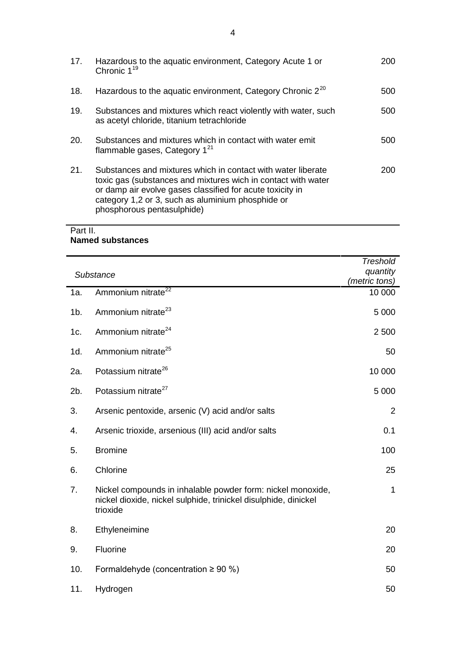| 17.        | Hazardous to the aquatic environment, Category Acute 1 or<br>Chronic $1^{19}$                                                                                                                                                                                                 | 200 |
|------------|-------------------------------------------------------------------------------------------------------------------------------------------------------------------------------------------------------------------------------------------------------------------------------|-----|
| 18.        | Hazardous to the aquatic environment, Category Chronic 2 <sup>20</sup>                                                                                                                                                                                                        | 500 |
| 19.        | Substances and mixtures which react violently with water, such<br>as acetyl chloride, titanium tetrachloride                                                                                                                                                                  | 500 |
| <b>20.</b> | Substances and mixtures which in contact with water emit<br>flammable gases, Category $1^{21}$                                                                                                                                                                                | 500 |
| 21.        | Substances and mixtures which in contact with water liberate<br>toxic gas (substances and mixtures wich in contact with water<br>or damp air evolve gases classified for acute toxicity in<br>category 1,2 or 3, such as aluminium phosphide or<br>phosphorous pentasulphide) | 200 |

# Part II. **Named substances**

|     | Substance                                                                                                                                  | <b>Treshold</b><br>quantity |
|-----|--------------------------------------------------------------------------------------------------------------------------------------------|-----------------------------|
|     |                                                                                                                                            | (metric tons)               |
| 1a. | Ammonium nitrate <sup>22</sup>                                                                                                             | 10 000                      |
| 1b. | Ammonium nitrate <sup>23</sup>                                                                                                             | 5 0 0 0                     |
| 1c. | Ammonium nitrate <sup>24</sup>                                                                                                             | 2 500                       |
| 1d. | Ammonium nitrate <sup>25</sup>                                                                                                             | 50                          |
| 2a. | Potassium nitrate <sup>26</sup>                                                                                                            | 10 000                      |
| 2b. | Potassium nitrate <sup>27</sup>                                                                                                            | 5 0 0 0                     |
| 3.  | Arsenic pentoxide, arsenic (V) acid and/or salts                                                                                           | $\overline{2}$              |
| 4.  | Arsenic trioxide, arsenious (III) acid and/or salts                                                                                        | 0.1                         |
| 5.  | <b>Bromine</b>                                                                                                                             | 100                         |
| 6.  | Chlorine                                                                                                                                   | 25                          |
| 7.  | Nickel compounds in inhalable powder form: nickel monoxide,<br>nickel dioxide, nickel sulphide, trinickel disulphide, dinickel<br>trioxide | 1                           |
| 8.  | Ethyleneimine                                                                                                                              | 20                          |
| 9.  | Fluorine                                                                                                                                   | 20                          |
| 10. | Formaldehyde (concentration $\geq 90$ %)                                                                                                   | 50                          |
| 11. | Hydrogen                                                                                                                                   | 50                          |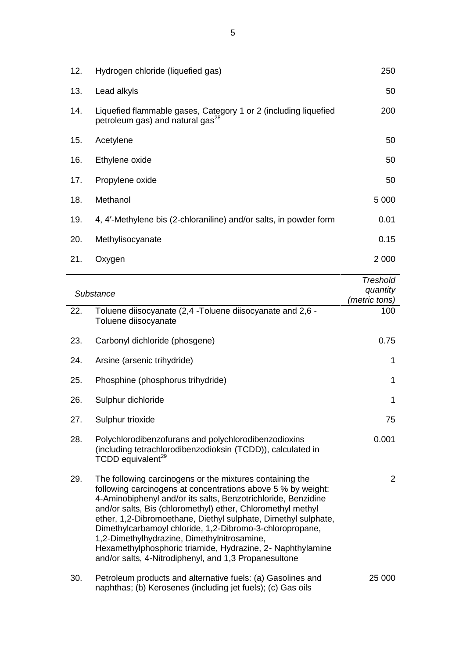| 13.<br>Lead alkyls<br>14.<br>Liquefied flammable gases, Category 1 or 2 (including liquefied<br>petroleum gas) and natural gas <sup>28</sup><br>15.<br>Acetylene<br>16.<br>Ethylene oxide<br>Propylene oxide<br>17.<br>18.<br>Methanol<br>0.01<br>19.<br>4, 4'-Methylene bis (2-chloraniline) and/or salts, in powder form<br>20.<br>Methylisocyanate<br>21.<br>Oxygen | 12. | Hydrogen chloride (liquefied gas) | 250     |
|------------------------------------------------------------------------------------------------------------------------------------------------------------------------------------------------------------------------------------------------------------------------------------------------------------------------------------------------------------------------|-----|-----------------------------------|---------|
|                                                                                                                                                                                                                                                                                                                                                                        |     |                                   | 50      |
|                                                                                                                                                                                                                                                                                                                                                                        |     |                                   | 200     |
|                                                                                                                                                                                                                                                                                                                                                                        |     |                                   | 50      |
|                                                                                                                                                                                                                                                                                                                                                                        |     |                                   | 50      |
|                                                                                                                                                                                                                                                                                                                                                                        |     |                                   | 50      |
|                                                                                                                                                                                                                                                                                                                                                                        |     |                                   | 5 0 0 0 |
|                                                                                                                                                                                                                                                                                                                                                                        |     |                                   |         |
|                                                                                                                                                                                                                                                                                                                                                                        |     |                                   | 0.15    |
|                                                                                                                                                                                                                                                                                                                                                                        |     |                                   | 2 0 0 0 |

|     |                                                                                                                                                                                                                                                                                                                                                                                                                                                                                                                                                              | <b>Treshold</b> |
|-----|--------------------------------------------------------------------------------------------------------------------------------------------------------------------------------------------------------------------------------------------------------------------------------------------------------------------------------------------------------------------------------------------------------------------------------------------------------------------------------------------------------------------------------------------------------------|-----------------|
|     | Substance                                                                                                                                                                                                                                                                                                                                                                                                                                                                                                                                                    | quantity        |
|     |                                                                                                                                                                                                                                                                                                                                                                                                                                                                                                                                                              | (metric tons)   |
| 22. | Toluene diisocyanate (2,4 - Toluene diisocyanate and 2,6 -<br>Toluene diisocyanate                                                                                                                                                                                                                                                                                                                                                                                                                                                                           | 100             |
| 23. | Carbonyl dichloride (phosgene)                                                                                                                                                                                                                                                                                                                                                                                                                                                                                                                               | 0.75            |
| 24. | Arsine (arsenic trihydride)                                                                                                                                                                                                                                                                                                                                                                                                                                                                                                                                  | $\mathbf 1$     |
| 25. | Phosphine (phosphorus trihydride)                                                                                                                                                                                                                                                                                                                                                                                                                                                                                                                            | $\mathbf 1$     |
| 26. | Sulphur dichloride                                                                                                                                                                                                                                                                                                                                                                                                                                                                                                                                           | $\mathbf{1}$    |
| 27. | Sulphur trioxide                                                                                                                                                                                                                                                                                                                                                                                                                                                                                                                                             | 75              |
| 28. | Polychlorodibenzofurans and polychlorodibenzodioxins<br>(including tetrachlorodibenzodioksin (TCDD)), calculated in<br>TCDD equivalent <sup>29</sup>                                                                                                                                                                                                                                                                                                                                                                                                         | 0.001           |
| 29. | The following carcinogens or the mixtures containing the<br>following carcinogens at concentrations above 5 % by weight:<br>4-Aminobiphenyl and/or its salts, Benzotrichloride, Benzidine<br>and/or salts, Bis (chloromethyl) ether, Chloromethyl methyl<br>ether, 1,2-Dibromoethane, Diethyl sulphate, Dimethyl sulphate,<br>Dimethylcarbamoyl chloride, 1,2-Dibromo-3-chloropropane,<br>1,2-Dimethylhydrazine, Dimethylnitrosamine,<br>Hexamethylphosphoric triamide, Hydrazine, 2- Naphthylamine<br>and/or salts, 4-Nitrodiphenyl, and 1,3 Propanesultone | 2               |
| 30. | Petroleum products and alternative fuels: (a) Gasolines and<br>naphthas; (b) Kerosenes (including jet fuels); (c) Gas oils                                                                                                                                                                                                                                                                                                                                                                                                                                   | 25 000          |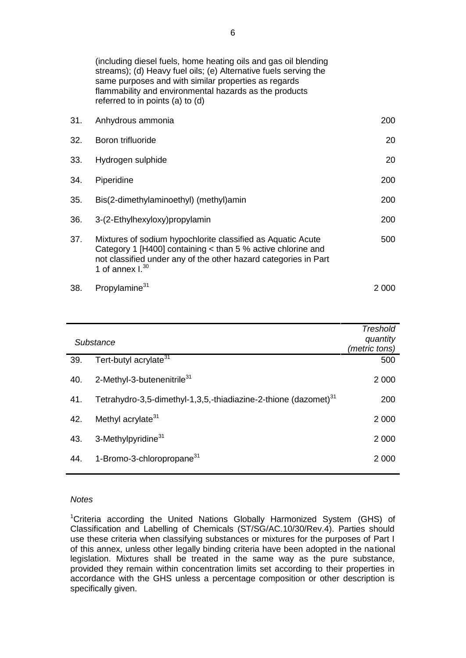(including diesel fuels, home heating oils and gas oil blending streams); (d) Heavy fuel oils; (e) Alternative fuels serving the same purposes and with similar properties as regards flammability and environmental hazards as the products referred to in points (a) to (d)

| 31. | Anhydrous ammonia                                                                                                                                                                                                    | 200   |
|-----|----------------------------------------------------------------------------------------------------------------------------------------------------------------------------------------------------------------------|-------|
| 32. | Boron trifluoride                                                                                                                                                                                                    | 20    |
| 33. | Hydrogen sulphide                                                                                                                                                                                                    | 20    |
| 34. | Piperidine                                                                                                                                                                                                           | 200   |
| 35. | Bis(2-dimethylaminoethyl) (methyl)amin                                                                                                                                                                               | 200   |
| 36. | 3-(2-Ethylhexyloxy)propylamin                                                                                                                                                                                        | 200   |
| 37. | Mixtures of sodium hypochlorite classified as Aquatic Acute<br>Category 1 [H400] containing < than 5 % active chlorine and<br>not classified under any of the other hazard categories in Part<br>1 of annex $I^{30}$ | 500   |
| 38. | Propylamine <sup>31</sup>                                                                                                                                                                                            | 2 000 |

|     | Substance                                                                   | <b>Treshold</b><br>quantity<br>(metric tons) |
|-----|-----------------------------------------------------------------------------|----------------------------------------------|
| 39. | Tert-butyl acrylate <sup>31</sup>                                           | 500                                          |
| 40. | 2-Methyl-3-butenenitrile <sup>31</sup>                                      | 2 0 0 0                                      |
| 41. | Tetrahydro-3,5-dimethyl-1,3,5,-thiadiazine-2-thione (dazomet) <sup>31</sup> | 200                                          |
| 42. | Methyl acrylate <sup>31</sup>                                               | 2 0 0 0                                      |
| 43. | 3-Methylpyridine <sup>31</sup>                                              | 2 0 0 0                                      |
| 44. | 1-Bromo-3-chloropropane <sup>31</sup>                                       | 2 0 0 0                                      |

# *Notes*

<sup>1</sup>Criteria according the United Nations Globally Harmonized System (GHS) of Classification and Labelling of Chemicals (ST/SG/AC.10/30/Rev.4). Parties should use these criteria when classifying substances or mixtures for the purposes of Part I of this annex, unless other legally binding criteria have been adopted in the national legislation. Mixtures shall be treated in the same way as the pure substance, provided they remain within concentration limits set according to their properties in accordance with the GHS unless a percentage composition or other description is specifically given.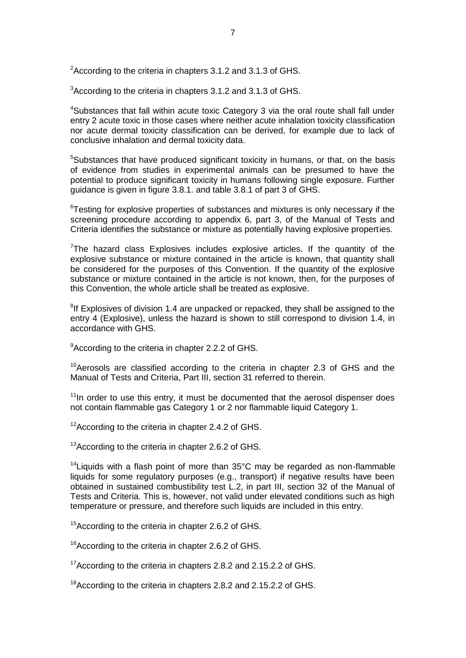$2^2$ According to the criteria in chapters 3.1.2 and 3.1.3 of GHS.

<sup>3</sup> According to the criteria in chapters 3.1.2 and 3.1.3 of GHS.

<sup>4</sup>Substances that fall within acute toxic Category 3 via the oral route shall fall under entry 2 acute toxic in those cases where neither acute inhalation toxicity classification nor acute dermal toxicity classification can be derived, for example due to lack of conclusive inhalation and dermal toxicity data.

<sup>5</sup>Substances that have produced significant toxicity in humans, or that, on the basis of evidence from studies in experimental animals can be presumed to have the potential to produce significant toxicity in humans following single exposure. Further guidance is given in figure 3.8.1. and table 3.8.1 of part 3 of GHS.

<sup>6</sup>Testing for explosive properties of substances and mixtures is only necessary if the screening procedure according to appendix 6, part 3, of the Manual of Tests and Criteria identifies the substance or mixture as potentially having explosive properties.

 $7$ The hazard class Explosives includes explosive articles. If the quantity of the explosive substance or mixture contained in the article is known, that quantity shall be considered for the purposes of this Convention. If the quantity of the explosive substance or mixture contained in the article is not known, then, for the purposes of this Convention, the whole article shall be treated as explosive.

<sup>8</sup>If Explosives of division 1.4 are unpacked or repacked, they shall be assigned to the entry 4 (Explosive), unless the hazard is shown to still correspond to division 1.4, in accordance with GHS.

<sup>9</sup> According to the criteria in chapter 2.2.2 of GHS.

 $10$ <sup>10</sup> Aerosols are classified according to the criteria in chapter 2.3 of GHS and the Manual of Tests and Criteria, Part III, section 31 referred to therein.

 $11$ In order to use this entry, it must be documented that the aerosol dispenser does not contain flammable gas Category 1 or 2 nor flammable liquid Category 1.

 $12$ According to the criteria in chapter 2.4.2 of GHS.

<sup>13</sup> According to the criteria in chapter 2.6.2 of GHS.

<sup>14</sup> Liquids with a flash point of more than  $35^{\circ}$ C may be regarded as non-flammable liquids for some regulatory purposes (e.g., transport) if negative results have been obtained in sustained combustibility test L.2, in part III, section 32 of the Manual of Tests and Criteria. This is, however, not valid under elevated conditions such as high temperature or pressure, and therefore such liquids are included in this entry.

<sup>15</sup>According to the criteria in chapter 2.6.2 of GHS.

<sup>16</sup> According to the criteria in chapter 2.6.2 of GHS.

<sup>17</sup> According to the criteria in chapters 2.8.2 and 2.15.2.2 of GHS.

<sup>18</sup> According to the criteria in chapters 2.8.2 and 2.15.2.2 of GHS.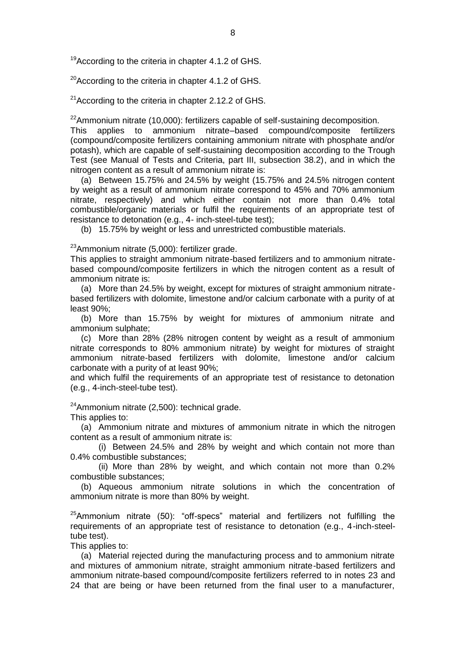<sup>19</sup>According to the criteria in chapter 4.1.2 of GHS.

 $20$ According to the criteria in chapter 4.1.2 of GHS.

 $21$ According to the criteria in chapter 2.12.2 of GHS.

 $22$ Ammonium nitrate (10,000): fertilizers capable of self-sustaining decomposition.

This applies to ammonium nitrate–based compound/composite fertilizers (compound/composite fertilizers containing ammonium nitrate with phosphate and/or potash), which are capable of self-sustaining decomposition according to the Trough Test (see Manual of Tests and Criteria, part III, subsection 38.2), and in which the nitrogen content as a result of ammonium nitrate is:

(a) Between 15.75% and 24.5% by weight (15.75% and 24.5% nitrogen content by weight as a result of ammonium nitrate correspond to 45% and 70% ammonium nitrate, respectively) and which either contain not more than 0.4% total combustible/organic materials or fulfil the requirements of an appropriate test of resistance to detonation (e.g., 4- inch-steel-tube test);

(b) 15.75% by weight or less and unrestricted combustible materials.

<sup>23</sup>Ammonium nitrate (5,000): fertilizer grade.

This applies to straight ammonium nitrate-based fertilizers and to ammonium nitratebased compound/composite fertilizers in which the nitrogen content as a result of ammonium nitrate is:

(a) More than 24.5% by weight, except for mixtures of straight ammonium nitratebased fertilizers with dolomite, limestone and/or calcium carbonate with a purity of at least 90%;

(b) More than 15.75% by weight for mixtures of ammonium nitrate and ammonium sulphate;

(c) More than 28% (28% nitrogen content by weight as a result of ammonium nitrate corresponds to 80% ammonium nitrate) by weight for mixtures of straight ammonium nitrate-based fertilizers with dolomite, limestone and/or calcium carbonate with a purity of at least 90%;

and which fulfil the requirements of an appropriate test of resistance to detonation (e.g., 4-inch-steel-tube test).

 $24$ Ammonium nitrate (2,500): technical grade.

This applies to:

(a) Ammonium nitrate and mixtures of ammonium nitrate in which the nitrogen content as a result of ammonium nitrate is:

(i) Between 24.5% and 28% by weight and which contain not more than 0.4% combustible substances;

(ii) More than 28% by weight, and which contain not more than 0.2% combustible substances;

(b) Aqueous ammonium nitrate solutions in which the concentration of ammonium nitrate is more than 80% by weight.

 $^{25}$ Ammonium nitrate (50): "off-specs" material and fertilizers not fulfilling the requirements of an appropriate test of resistance to detonation (e.g., 4-inch-steeltube test).

This applies to:

(a) Material rejected during the manufacturing process and to ammonium nitrate and mixtures of ammonium nitrate, straight ammonium nitrate-based fertilizers and ammonium nitrate-based compound/composite fertilizers referred to in notes 23 and 24 that are being or have been returned from the final user to a manufacturer,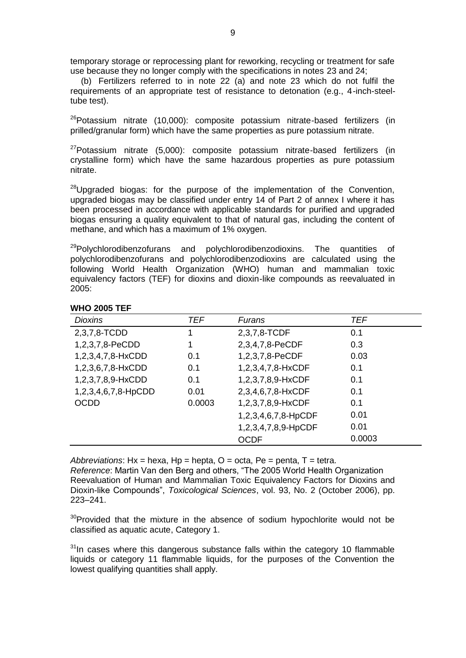temporary storage or reprocessing plant for reworking, recycling or treatment for safe use because they no longer comply with the specifications in notes 23 and 24;

(b) Fertilizers referred to in note 22 (a) and note 23 which do not fulfil the requirements of an appropriate test of resistance to detonation (e.g., 4-inch-steeltube test).

 $26P$ otassium nitrate (10,000): composite potassium nitrate-based fertilizers (in prilled/granular form) which have the same properties as pure potassium nitrate.

 $^{27}$ Potassium nitrate (5,000): composite potassium nitrate-based fertilizers (in crystalline form) which have the same hazardous properties as pure potassium nitrate.

 $^{28}$ Upgraded biogas: for the purpose of the implementation of the Convention, upgraded biogas may be classified under entry 14 of Part 2 of annex I where it has been processed in accordance with applicable standards for purified and upgraded biogas ensuring a quality equivalent to that of natural gas, including the content of methane, and which has a maximum of 1% oxygen.

 $^{29}$ Polychlorodibenzofurans and polychlorodibenzodioxins. The quantities of polychlorodibenzofurans and polychlorodibenzodioxins are calculated using the following World Health Organization (WHO) human and mammalian toxic equivalency factors (TEF) for dioxins and dioxin-like compounds as reevaluated in 2005:

| <b>Dioxins</b>      | <b>TEF</b> | Furans              | <b>TEF</b> |
|---------------------|------------|---------------------|------------|
| 2,3,7,8-TCDD        |            | 2,3,7,8-TCDF        | 0.1        |
| 1,2,3,7,8-PeCDD     |            | 2,3,4,7,8-PeCDF     | 0.3        |
| 1,2,3,4,7,8-HxCDD   | 0.1        | 1,2,3,7,8-PeCDF     | 0.03       |
| 1,2,3,6,7,8-HxCDD   | 0.1        | 1,2,3,4,7,8-HxCDF   | 0.1        |
| 1,2,3,7,8,9-HxCDD   | 0.1        | 1,2,3,7,8,9-HxCDF   | 0.1        |
| 1,2,3,4,6,7,8-HpCDD | 0.01       | 2,3,4,6,7,8-HxCDF   | 0.1        |
| <b>OCDD</b>         | 0.0003     | 1,2,3,7,8,9-HxCDF   | 0.1        |
|                     |            | 1,2,3,4,6,7,8-HpCDF | 0.01       |
|                     |            | 1,2,3,4,7,8,9-HpCDF | 0.01       |
|                     |            | <b>OCDF</b>         | 0.0003     |

#### **WHO 2005 TEF**

*Abbreviations*: Hx = hexa, Hp = hepta, O = octa, Pe = penta, T = tetra.

*Reference*: Martin Van den Berg and others, "The 2005 World Health Organization Reevaluation of Human and Mammalian Toxic Equivalency Factors for Dioxins and Dioxin-like Compounds", *Toxicological Sciences*, vol. 93, No. 2 (October 2006), pp. 223–241.

 $30$ Provided that the mixture in the absence of sodium hypochlorite would not be classified as aquatic acute, Category 1.

 $31$ In cases where this dangerous substance falls within the category 10 flammable liquids or category 11 flammable liquids, for the purposes of the Convention the lowest qualifying quantities shall apply.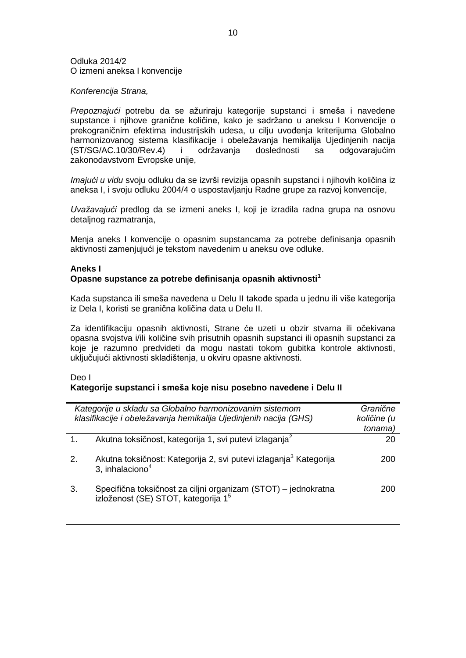#### Odluka 2014/2 O izmeni aneksa I konvencije

#### *Konferencija Strana,*

*Prepoznajući* potrebu da se ažuriraju kategorije supstanci i smeša i navedene supstance i njihove granične količine, kako je sadržano u aneksu I Konvencije o prekograničnim efektima industrijskih udesa, u cilju uvođenja kriterijuma Globalno harmonizovanog sistema klasifikacije i obeležavanja hemikalija Ujedinjenih nacija (ST/SG/AC.10/30/Rev.4) i održavanja doslednosti sa odgovarajućim zakonodavstvom Evropske unije,

*Imajući u vidu* svoju odluku da se izvrši revizija opasnih supstanci i njihovih količina iz aneksa I, i svoju odluku 2004/4 o uspostavljanju Radne grupe za razvoj konvencije,

*Uvažavajući* predlog da se izmeni aneks I, koji je izradila radna grupa na osnovu detaljnog razmatranja,

Menja aneks I konvencije o opasnim supstancama za potrebe definisanja opasnih aktivnosti zamenjujući je tekstom navedenim u aneksu ove odluke.

#### **Aneks I**

#### **Opasne supstance za potrebe definisanja opasnih aktivnosti<sup>1</sup>**

Kada supstanca ili smeša navedena u Delu II takođe spada u jednu ili više kategorija iz Dela I, koristi se granična količina data u Delu II.

Za identifikaciju opasnih aktivnosti, Strane će uzeti u obzir stvarna ili očekivana opasna svojstva i/ili količine svih prisutnih opasnih supstanci ili opasnih supstanci za koje je razumno predvideti da mogu nastati tokom gubitka kontrole aktivnosti, uključujući aktivnosti skladištenja, u okviru opasne aktivnosti.

#### Deo I **Kategorije supstanci i smeša koje nisu posebno navedene i Delu II**

|                | Kategorije u skladu sa Globalno harmonizovanim sistemom<br>klasifikacije i obeležavanja hemikalija Ujedinjenih nacija (GHS) | Granične<br>količine (u<br>tonama) |
|----------------|-----------------------------------------------------------------------------------------------------------------------------|------------------------------------|
| $\mathbf{1}$ . | Akutna toksičnost, kategorija 1, svi putevi izlaganja <sup>2</sup>                                                          | 20                                 |
| 2.             | Akutna toksičnost: Kategorija 2, svi putevi izlaganja <sup>3</sup> Kategorija<br>3, inhalaciono <sup>4</sup>                | 200                                |
| 3.             | Specifična toksičnost za ciljni organizam (STOT) – jednokratna izloženost (SE) STOT, kategorija 1 <sup>5</sup>              | 200                                |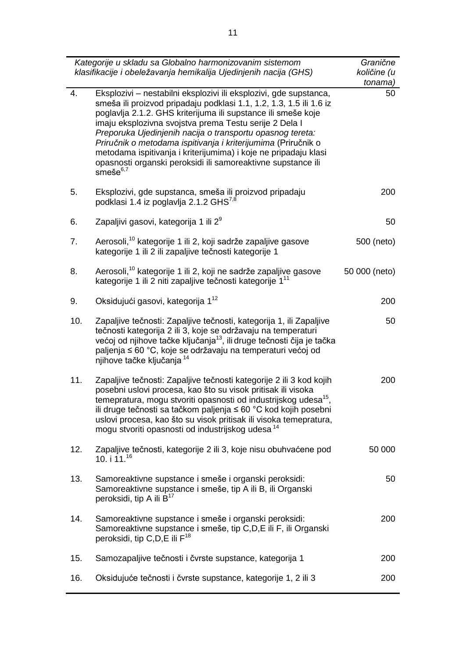|                  | Kategorije u skladu sa Globalno harmonizovanim sistemom<br>klasifikacije i obeležavanja hemikalija Ujedinjenih nacija (GHS)                                                                                                                                                                                                                                                                                                                                                                                                                            | Granične<br>količine (u<br>tonama) |
|------------------|--------------------------------------------------------------------------------------------------------------------------------------------------------------------------------------------------------------------------------------------------------------------------------------------------------------------------------------------------------------------------------------------------------------------------------------------------------------------------------------------------------------------------------------------------------|------------------------------------|
| $\overline{4}$ . | Eksplozivi - nestabilni eksplozivi ili eksplozivi, gde supstanca,<br>smeša ili proizvod pripadaju podklasi 1.1, 1.2, 1.3, 1.5 ili 1.6 iz<br>poglavlja 2.1.2. GHS kriterijuma ili supstance ili smeše koje<br>imaju eksplozivna svojstva prema Testu serije 2 Dela I<br>Preporuka Ujedinjenih nacija o transportu opasnog tereta:<br>Priručnik o metodama ispitivanja i kriterijumima (Priručnik o<br>metodama ispitivanja i kriterijumima) i koje ne pripadaju klasi<br>opasnosti organski peroksidi ili samoreaktivne supstance ili<br>smeše $^{6,7}$ | 50                                 |
| 5.               | Eksplozivi, gde supstanca, smeša ili proizvod pripadaju<br>podklasi 1.4 iz poglavlja 2.1.2 GHS <sup>7,8</sup>                                                                                                                                                                                                                                                                                                                                                                                                                                          | 200                                |
| 6.               | Zapaljivi gasovi, kategorija 1 ili 2 <sup>9</sup>                                                                                                                                                                                                                                                                                                                                                                                                                                                                                                      | 50                                 |
| 7.               | Aerosoli, <sup>10</sup> kategorije 1 ili 2, koji sadrže zapaljive gasove<br>kategorije 1 ili 2 ili zapaljive tečnosti kategorije 1                                                                                                                                                                                                                                                                                                                                                                                                                     | 500 (neto)                         |
| 8.               | Aerosoli, <sup>10</sup> kategorije 1 ili 2, koji ne sadrže zapaljive gasove<br>kategorije 1 ili 2 niti zapaljive tečnosti kategorije 1 <sup>11</sup>                                                                                                                                                                                                                                                                                                                                                                                                   | 50 000 (neto)                      |
| 9.               | Oksidujući gasovi, kategorija 1 <sup>12</sup>                                                                                                                                                                                                                                                                                                                                                                                                                                                                                                          | 200                                |
| 10.              | Zapaljive tečnosti: Zapaljive tečnosti, kategorija 1, ili Zapaljive<br>tečnosti kategorija 2 ili 3, koje se održavaju na temperaturi<br>većoj od njihove tačke ključanja <sup>13</sup> , ili druge tečnosti čija je tačka<br>paljenja ≤ 60 °C, koje se održavaju na temperaturi većoj od<br>njihove tačke ključanja 14                                                                                                                                                                                                                                 | 50                                 |
| 11.              | Zapaljive tečnosti: Zapaljive tečnosti kategorije 2 ili 3 kod kojih<br>posebni uslovi procesa, kao što su visok pritisak ili visoka<br>temepratura, mogu stvoriti opasnosti od industrijskog udesa <sup>15</sup> ,<br>ili druge tečnosti sa tačkom paljenja ≤ 60 °C kod kojih posebni<br>uslovi procesa, kao što su visok pritisak ili visoka temepratura,<br>mogu stvoriti opasnosti od industrijskog udesa <sup>14</sup>                                                                                                                             | 200                                |
| 12.              | Zapaljive tečnosti, kategorije 2 ili 3, koje nisu obuhvaćene pod<br>10. i 11. <sup>16</sup>                                                                                                                                                                                                                                                                                                                                                                                                                                                            | 50 000                             |
| 13.              | Samoreaktivne supstance i smeše i organski peroksidi:<br>Samoreaktivne supstance i smeše, tip A ili B, ili Organski<br>peroksidi, tip A ili B <sup>17</sup>                                                                                                                                                                                                                                                                                                                                                                                            | 50                                 |
| 14.              | Samoreaktivne supstance i smeše i organski peroksidi:<br>Samoreaktivne supstance i smeše, tip C,D,E ili F, ili Organski<br>peroksidi, tip C, D, E ili F <sup>18</sup>                                                                                                                                                                                                                                                                                                                                                                                  | 200                                |
| 15.              | Samozapaljive tečnosti i čvrste supstance, kategorija 1                                                                                                                                                                                                                                                                                                                                                                                                                                                                                                | 200                                |
| 16.              | Oksidujuće tečnosti i čvrste supstance, kategorije 1, 2 ili 3                                                                                                                                                                                                                                                                                                                                                                                                                                                                                          | 200                                |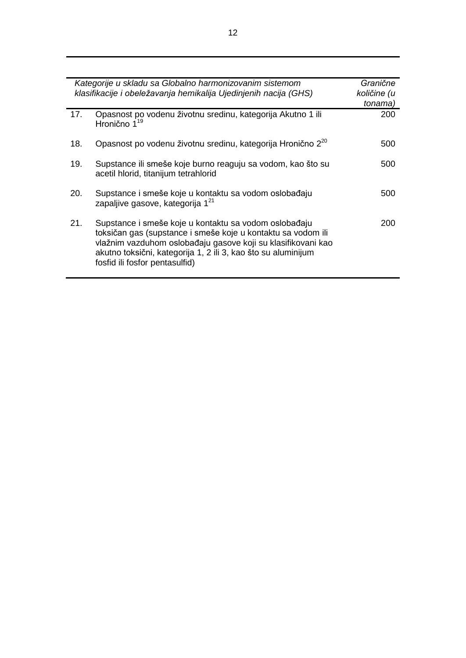|     | Kategorije u skladu sa Globalno harmonizovanim sistemom<br>klasifikacije i obeležavanja hemikalija Ujedinjenih nacija (GHS)                                                                                                                                                              | Granične<br>količine (u<br>tonama) |
|-----|------------------------------------------------------------------------------------------------------------------------------------------------------------------------------------------------------------------------------------------------------------------------------------------|------------------------------------|
| 17. | Opasnost po vodenu životnu sredinu, kategorija Akutno 1 ili<br>Hronično 1 <sup>19</sup>                                                                                                                                                                                                  | 200                                |
| 18. | Opasnost po vodenu životnu sredinu, kategorija Hronično 2 <sup>20</sup>                                                                                                                                                                                                                  | 500                                |
| 19. | Supstance ili smeše koje burno reaguju sa vodom, kao što su<br>acetil hlorid, titanijum tetrahlorid                                                                                                                                                                                      | 500                                |
| 20. | Supstance i smeše koje u kontaktu sa vodom oslobađaju<br>zapaljive gasove, kategorija 1 <sup>21</sup>                                                                                                                                                                                    | 500                                |
| 21. | Supstance i smeše koje u kontaktu sa vodom oslobađaju<br>toksičan gas (supstance i smeše koje u kontaktu sa vodom ili<br>vlažnim vazduhom oslobađaju gasove koji su klasifikovani kao<br>akutno toksični, kategorija 1, 2 ili 3, kao što su aluminijum<br>fosfid ili fosfor pentasulfid) | 200                                |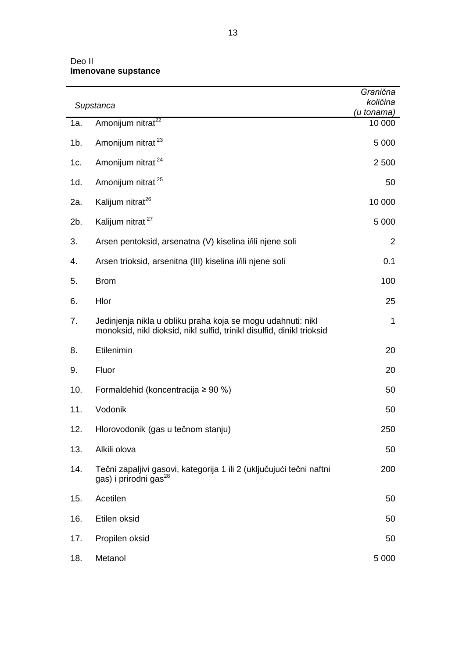# Deo II **Imenovane supstance**

|        |                                                                                                                                       | Granična               |
|--------|---------------------------------------------------------------------------------------------------------------------------------------|------------------------|
|        | Supstanca                                                                                                                             | količina<br>(u tonama) |
| 1a.    | Amonijum nitrat <sup>22</sup>                                                                                                         | 10 000                 |
| $1b$ . | Amonijum nitrat <sup>23</sup>                                                                                                         | 5 0 0 0                |
| 1c.    | Amonijum nitrat <sup>24</sup>                                                                                                         | 2 500                  |
| 1d.    | Amonijum nitrat <sup>25</sup>                                                                                                         | 50                     |
| 2a.    | Kalijum nitrat <sup>26</sup>                                                                                                          | 10 000                 |
| 2b.    | Kalijum nitrat <sup>27</sup>                                                                                                          | 5 0 0 0                |
| 3.     | Arsen pentoksid, arsenatna (V) kiselina i/ili njene soli                                                                              | $\overline{2}$         |
| 4.     | Arsen trioksid, arsenitna (III) kiselina i/ili njene soli                                                                             | 0.1                    |
| 5.     | <b>Brom</b>                                                                                                                           | 100                    |
| 6.     | Hlor                                                                                                                                  | 25                     |
| 7.     | Jedinjenja nikla u obliku praha koja se mogu udahnuti: nikl<br>monoksid, nikl dioksid, nikl sulfid, trinikl disulfid, dinikl trioksid | $\mathbf 1$            |
| 8.     | Etilenimin                                                                                                                            | 20                     |
| 9.     | Fluor                                                                                                                                 | 20                     |
| 10.    | Formaldehid (koncentracija $\geq 90$ %)                                                                                               | 50                     |
| 11.    | Vodonik                                                                                                                               | 50                     |
| 12.    | Hlorovodonik (gas u tečnom stanju)                                                                                                    | 250                    |
| 13.    | Alkili olova                                                                                                                          | 50                     |
| 14.    | Tečni zapaljivi gasovi, kategorija 1 ili 2 (uključujući tečni naftni<br>gas) i prirodni gas <sup>28</sup>                             | 200                    |
| 15.    | Acetilen                                                                                                                              | 50                     |
| 16.    | Etilen oksid                                                                                                                          | 50                     |
| 17.    | Propilen oksid                                                                                                                        | 50                     |
| 18.    | Metanol                                                                                                                               | 5 0 0 0                |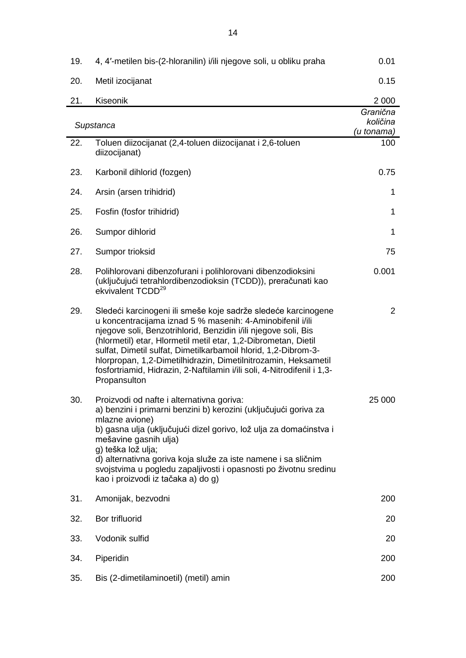| 19.       | 4, 4'-metilen bis-(2-hloranilin) i/ili njegove soli, u obliku praha                                                                                                                                                                                                                                                                                                                                                                                                                           | 0.01                               |
|-----------|-----------------------------------------------------------------------------------------------------------------------------------------------------------------------------------------------------------------------------------------------------------------------------------------------------------------------------------------------------------------------------------------------------------------------------------------------------------------------------------------------|------------------------------------|
| 20.       | Metil izocijanat                                                                                                                                                                                                                                                                                                                                                                                                                                                                              | 0.15                               |
| 21.       | Kiseonik                                                                                                                                                                                                                                                                                                                                                                                                                                                                                      | 2 0 0 0                            |
| Supstanca |                                                                                                                                                                                                                                                                                                                                                                                                                                                                                               | Granična<br>količina<br>(u tonama) |
| 22.       | Toluen diizocijanat (2,4-toluen diizocijanat i 2,6-toluen<br>diizocijanat)                                                                                                                                                                                                                                                                                                                                                                                                                    | 100                                |
| 23.       | Karbonil dihlorid (fozgen)                                                                                                                                                                                                                                                                                                                                                                                                                                                                    | 0.75                               |
| 24.       | Arsin (arsen trihidrid)                                                                                                                                                                                                                                                                                                                                                                                                                                                                       | 1                                  |
| 25.       | Fosfin (fosfor trihidrid)                                                                                                                                                                                                                                                                                                                                                                                                                                                                     | 1                                  |
| 26.       | Sumpor dihlorid                                                                                                                                                                                                                                                                                                                                                                                                                                                                               | 1                                  |
| 27.       | Sumpor trioksid                                                                                                                                                                                                                                                                                                                                                                                                                                                                               | 75                                 |
| 28.       | Polihlorovani dibenzofurani i polihlorovani dibenzodioksini<br>(uključujući tetrahlordibenzodioksin (TCDD)), preračunati kao<br>ekvivalent TCDD <sup>29</sup>                                                                                                                                                                                                                                                                                                                                 | 0.001                              |
| 29.       | Sledeći karcinogeni ili smeše koje sadrže sledeće karcinogene<br>u koncentracijama iznad 5 % masenih: 4-Aminobifenil i/ili<br>njegove soli, Benzotrihlorid, Benzidin i/ili njegove soli, Bis<br>(hlormetil) etar, Hlormetil metil etar, 1,2-Dibrometan, Dietil<br>sulfat, Dimetil sulfat, Dimetilkarbamoil hlorid, 1,2-Dibrom-3-<br>hlorpropan, 1,2-Dimetilhidrazin, Dimetilnitrozamin, Heksametil<br>fosfortriamid, Hidrazin, 2-Naftilamin i/ili soli, 4-Nitrodifenil i 1,3-<br>Propansulton | $\overline{2}$                     |
| 30.       | Proizvodi od nafte i alternativna goriva:<br>a) benzini i primarni benzini b) kerozini (uključujući goriva za<br>mlazne avione)<br>b) gasna ulja (uključujući dizel gorivo, lož ulja za domaćinstva i<br>mešavine gasnih ulja)<br>g) teška lož ulja;<br>d) alternativna goriva koja služe za iste namene i sa sličnim<br>svojstvima u pogledu zapaljivosti i opasnosti po životnu sredinu<br>kao i proizvodi iz tačaka a) do g)                                                               | 25 000                             |
| 31.       | Amonijak, bezvodni                                                                                                                                                                                                                                                                                                                                                                                                                                                                            | 200                                |
| 32.       | Bor trifluorid                                                                                                                                                                                                                                                                                                                                                                                                                                                                                | 20                                 |
| 33.       | Vodonik sulfid                                                                                                                                                                                                                                                                                                                                                                                                                                                                                | 20                                 |
| 34.       | Piperidin                                                                                                                                                                                                                                                                                                                                                                                                                                                                                     | 200                                |
| 35.       | Bis (2-dimetilaminoetil) (metil) amin                                                                                                                                                                                                                                                                                                                                                                                                                                                         | 200                                |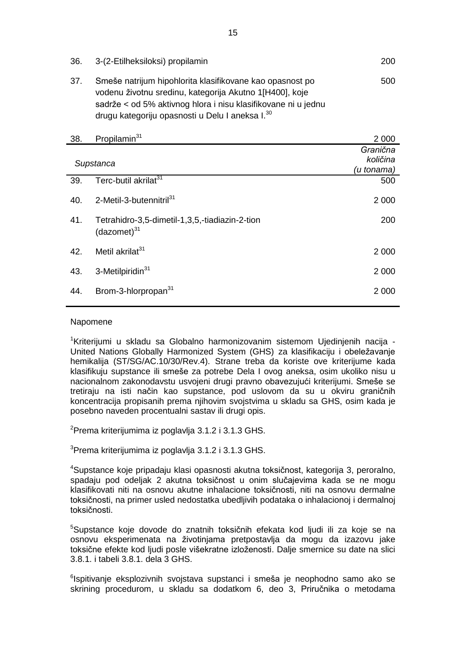| 36.       | 3-(2-Etilheksiloksi) propilamin                                                                                                                                                                                                                     | 200                                |
|-----------|-----------------------------------------------------------------------------------------------------------------------------------------------------------------------------------------------------------------------------------------------------|------------------------------------|
| 37.       | Smeše natrijum hipohlorita klasifikovane kao opasnost po<br>vodenu životnu sredinu, kategorija Akutno 1[H400], koje<br>sadrže < od 5% aktivnog hlora i nisu klasifikovane ni u jednu<br>drugu kategoriju opasnosti u Delu I aneksa I. <sup>30</sup> | 500                                |
| 38.       | Propilamin <sup>31</sup>                                                                                                                                                                                                                            | 2 0 0 0                            |
| Supstanca |                                                                                                                                                                                                                                                     | Granična<br>količina<br>(u tonama) |
| 39.       | Terc-butil akrilat <sup>31</sup>                                                                                                                                                                                                                    | 500                                |
| 40.       | 2-Metil-3-butennitril <sup>31</sup>                                                                                                                                                                                                                 | 2 0 0 0                            |
| 41.       | Tetrahidro-3,5-dimetil-1,3,5,-tiadiazin-2-tion<br>$(dazomet)^{31}$                                                                                                                                                                                  | 200                                |
| 42.       | Metil akrilat <sup>31</sup>                                                                                                                                                                                                                         | 2 0 0 0                            |
| 43.       | 3-Metilpiridin <sup>31</sup>                                                                                                                                                                                                                        | 2 000                              |

# 44. Brom-3-hlorpropan<sup>31</sup> 2 000

#### Napomene

<sup>1</sup>Kriterijumi u skladu sa Globalno harmonizovanim sistemom Ujedinjenih nacija - United Nations Globally Harmonized System (GHS) za klasifikaciju i obeležavanje hemikalija (ST/SG/AC.10/30/Rev.4). Strane treba da koriste ove kriterijume kada klasifikuju supstance ili smeše za potrebe Dela I ovog aneksa, osim ukoliko nisu u nacionalnom zakonodavstu usvojeni drugi pravno obavezujući kriterijumi. Smeše se tretiraju na isti način kao supstance, pod uslovom da su u okviru graničnih koncentracija propisanih prema njihovim svojstvima u skladu sa GHS, osim kada je posebno naveden procentualni sastav ili drugi opis.

<sup>2</sup>Prema kriterijumima iz poglavlja 3.1.2 i 3.1.3 GHS.

<sup>3</sup>Prema kriterijumima iz poglavlja 3.1.2 i 3.1.3 GHS.

<sup>4</sup>Supstance koje pripadaju klasi opasnosti akutna toksičnost, kategorija 3, peroralno, spadaju pod odeljak 2 akutna toksičnost u onim slučajevima kada se ne mogu klasifikovati niti na osnovu akutne inhalacione toksičnosti, niti na osnovu dermalne toksičnosti, na primer usled nedostatka ubedljivih podataka o inhalacionoj i dermalnoj toksičnosti.

<sup>5</sup>Supstance koje dovode do znatnih toksičnih efekata kod ljudi ili za koje se na osnovu eksperimenata na životinjama pretpostavlja da mogu da izazovu jake toksične efekte kod ljudi posle višekratne izloženosti. Dalje smernice su date na slici 3.8.1. i tabeli 3.8.1. dela 3 GHS.

<sup>6</sup>lspitivanje eksplozivnih svojstava supstanci i smeša je neophodno samo ako se skrining procedurom, u skladu sa dodatkom 6, deo 3, Priručnika o metodama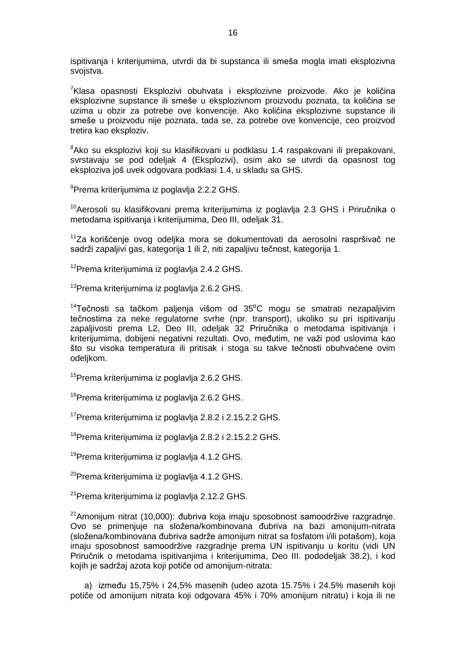ispitivanja i kriterijumima, utvrdi da bi supstanca ili smeša mogla imati eksplozivna svojstva.

<sup>7</sup>Klasa opasnosti Eksplozivi obuhvata i eksplozivne proizvode. Ako je količina eksplozivne supstance ili smeše u eksplozivnom proizvodu poznata, ta količina se uzima u obzir za potrebe ove konvencije. Ako količina eksplozivne supstance ili smeše u proizvodu nije poznata, tada se, za potrebe ove konvencije, ceo proizvod tretira kao eksploziv.

<sup>8</sup>Ako su eksplozivi koji su klasifikovani u podklasu 1.4 raspakovani ili prepakovani, svrstavaju se pod odeljak 4 (Eksplozivi), osim ako se utvrdi da opasnost tog eksploziva još uvek odgovara podklasi 1.4, u skladu sa GHS.

<sup>9</sup>Prema kriterijumima iz poglavlja 2.2.2 GHS.

<sup>10</sup>Aerosoli su klasifikovani prema kriterijumima iz poglavlja 2.3 GHS i Priručnika o metodama ispitivanja i kriterijumima, Deo III, odeljak 31.

<sup>11</sup>Za korišćenje ovog odeljka mora se dokumentovati da aerosolni raspršivač ne sadrži zapaljivi gas, kategorija 1 ili 2, niti zapaljivu tečnost, kategorija 1.

<sup>12</sup>Prema kriterijumima iz poglavlja 2.4.2 GHS.

<sup>13</sup>Prema kriterijumima iz poglavlja 2.6.2 GHS.

 $14$ Tečnosti sa tačkom paljenja višom od  $35^{\circ}$ C mogu se smatrati nezapaljivim tečnostima za neke regulatorne svrhe (npr. transport), ukoliko su pri ispitivanju zapaljivosti prema L2, Deo III, odeljak 32 Priručnika o metodama ispitivanja i kriterijumima, dobijeni negativni rezultati. Ovo, međutim, ne važi pod uslovima kao što su visoka temperatura ili pritisak i stoga su takve tečnosti obuhvaćene ovim odeljkom.

<sup>15</sup>Prema kriterijumima iz poglavlja 2.6.2 GHS.

<sup>16</sup>Prema kriterijumima iz poglavlja 2.6.2 GHS.

<sup>17</sup>Prema kriterijumima iz poglavlja 2.8.2 i 2.15.2.2 GHS.

<sup>18</sup>Prema kriterijumima iz poglavlja 2.8.2 i 2.15.2.2 GHS.

<sup>19</sup>Prema kriterijumima iz poglavlja 4.1.2 GHS.

<sup>20</sup>Prema kriterijumima iz poglavlja 4.1.2 GHS.

<sup>21</sup>Prema kriterijumima iz poglavlja 2.12.2 GHS.

 $22$ Amonijum nitrat (10,000): đubriva koja imaju sposobnost samoodržive razgradnje. Ovo se primenjuje na složena/kombinovana đubriva na bazi amonijum-nitrata (složena/kombinovana đubriva sadrže amonijum nitrat sa fosfatom i/ili potašom), koja imaju sposobnost samoodržive razgradnje prema UN ispitivanju u koritu (vidi UN Priručnik o metodama ispitivanjima i kriterijumima, Deo III. pododeljak 38.2), i kod kojih je sadržaj azota koji potiče od amonijum-nitrata:

a) između 15,75% i 24,5% masenih (udeo azota 15.75% i 24.5% masenih koji potiče od amonijum nitrata koji odgovara 45% i 70% amonijum nitratu) i koja ili ne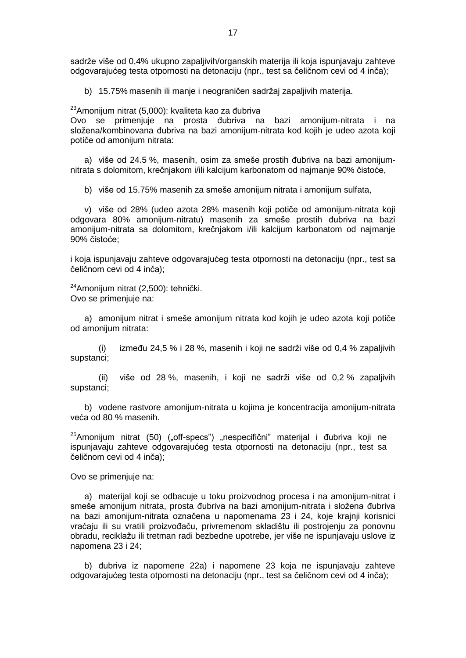sadrže više od 0,4% ukupno zapaljivih/organskih materija ili koja ispunjavaju zahteve odgovarajućeg testa otpornosti na detonaciju (npr., test sa čeličnom cevi od 4 inča);

b) 15.75% masenih ili manje i neograničen sadržaj zapaljivih materija.

<sup>23</sup>Amonijum nitrat (5,000): kvaliteta kao za đubriva

Ovo se primenjuje na prosta đubriva na bazi amonijum-nitrata i na složena/kombinovana đubriva na bazi amonijum-nitrata kod kojih je udeo azota koji potiče od amonijum nitrata:

a) više od 24.5 %, masenih, osim za smeše prostih đubriva na bazi amonijumnitrata s dolomitom, krečnjakom i/ili kalcijum karbonatom od najmanje 90% čistoće,

b) više od 15.75% masenih za smeše amonijum nitrata i amonijum sulfata,

v) više od 28% (udeo azota 28% masenih koji potiče od amonijum-nitrata koji odgovara 80% amonijum-nitratu) masenih za smeše prostih đubriva na bazi amonijum-nitrata sa dolomitom, krečnjakom i/ili kalcijum karbonatom od najmanje 90% čistoće;

i koja ispunjavaju zahteve odgovarajućeg testa otpornosti na detonaciju (npr., test sa čeličnom cevi od 4 inča);

<sup>24</sup>Amonijum nitrat (2,500): tehnički. Ovo se primenjuje na:

a) amonijum nitrat i smeše amonijum nitrata kod kojih je udeo azota koji potiče od amonijum nitrata:

(i) između 24,5 % i 28 %, masenih i koji ne sadrži više od 0,4 % zapaljivih supstanci;

(ii) više od 28 %, masenih, i koji ne sadrži više od 0,2 % zapaljivih supstanci;

b) vodene rastvore amonijum-nitrata u kojima je koncentracija amonijum-nitrata veća od 80 % masenih.

 $25$ Amonijum nitrat (50) ("off-specs") "nespecifični" materijal i đubriva koji ne ispunjavaju zahteve odgovarajućeg testa otpornosti na detonaciju (npr., test sa čeličnom cevi od 4 inča);

Ovo se primenjuje na:

a) materijal koji se odbacuje u toku proizvodnog procesa i na amonijum-nitrat i smeše amonijum nitrata, prosta đubriva na bazi amonijum-nitrata i složena đubriva na bazi amonijum-nitrata označena u napomenama 23 i 24, koje krajnji korisnici vraćaju ili su vratili proizvođaču, privremenom skladištu ili postrojenju za ponovnu obradu, reciklažu ili tretman radi bezbedne upotrebe, jer više ne ispunjavaju uslove iz napomena 23 i 24;

b) đubriva iz napomene 22a) i napomene 23 koja ne ispunjavaju zahteve odgovarajućeg testa otpornosti na detonaciju (npr., test sa čeličnom cevi od 4 inča);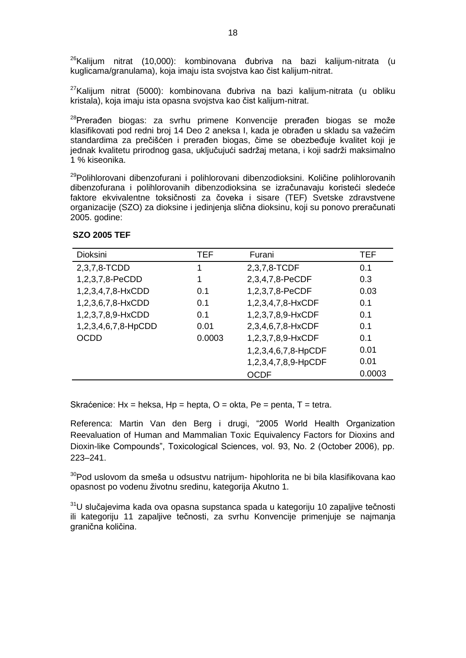$26$ Kalijum nitrat (10,000): kombinovana đubriva na bazi kalijum-nitrata (u kuglicama/granulama), koja imaju ista svojstva kao čist kalijum-nitrat.

 $27$ Kalijum nitrat (5000): kombinovana đubriva na bazi kalijum-nitrata (u obliku kristala), koja imaju ista opasna svojstva kao čist kalijum-nitrat.

<sup>28</sup>Prerađen biogas: za svrhu primene Konvencije prerađen biogas se može klasifikovati pod redni broj 14 Deo 2 aneksa I, kada je obrađen u skladu sa važećim standardima za prečišćen i prerađen biogas, čime se obezbeđuje kvalitet koji je jednak kvalitetu prirodnog gasa, uključujući sadržaj metana, i koji sadrži maksimalno 1 % kiseonika.

<sup>29</sup>Polihlorovani dibenzofurani i polihlorovani dibenzodioksini. Količine polihlorovanih dibenzofurana i polihlorovanih dibenzodioksina se izračunavaju koristeći sledeće faktore ekvivalentne toksičnosti za čoveka i sisare (TEF) Svetske zdravstvene organizacije (SZO) za dioksine i jedinjenja slična dioksinu, koji su ponovo preračunati 2005. godine:

| Dioksini            | <b>TEF</b> | Furani              | <b>TEF</b> |
|---------------------|------------|---------------------|------------|
| 2,3,7,8-TCDD        | 1          | 2,3,7,8-TCDF        | 0.1        |
| 1,2,3,7,8-PeCDD     | 1          | 2,3,4,7,8-PeCDF     | 0.3        |
| 1,2,3,4,7,8-HxCDD   | 0.1        | 1,2,3,7,8-PeCDF     | 0.03       |
| 1,2,3,6,7,8-HxCDD   | 0.1        | 1,2,3,4,7,8-HxCDF   | 0.1        |
| 1,2,3,7,8,9-HxCDD   | 0.1        | 1,2,3,7,8,9-HxCDF   | 0.1        |
| 1,2,3,4,6,7,8-HpCDD | 0.01       | 2,3,4,6,7,8-HxCDF   | 0.1        |
| <b>OCDD</b>         | 0.0003     | 1,2,3,7,8,9-HxCDF   | 0.1        |
|                     |            | 1,2,3,4,6,7,8-HpCDF | 0.01       |
|                     |            | 1,2,3,4,7,8,9-HpCDF | 0.01       |
|                     |            | <b>OCDF</b>         | 0.0003     |

#### **SZO 2005 TEF**

Skraćenice: Hx = heksa, Hp = hepta,  $O =$  okta, Pe = penta, T = tetra.

Referenca: Martin Van den Berg i drugi, "2005 World Health Organization Reevaluation of Human and Mammalian Toxic Equivalency Factors for Dioxins and Dioxin-like Compounds", Toxicological Sciences, vol. 93, No. 2 (October 2006), pp. 223–241.

<sup>30</sup>Pod uslovom da smeša u odsustvu natrijum- hipohlorita ne bi bila klasifikovana kao opasnost po vodenu životnu sredinu, kategorija Akutno 1.

<sup>31</sup>U slučajevima kada ova opasna supstanca spada u kategoriju 10 zapaljive tečnosti ili kategoriju 11 zapaljive tečnosti, za svrhu Konvencije primenjuje se najmanja granična količina.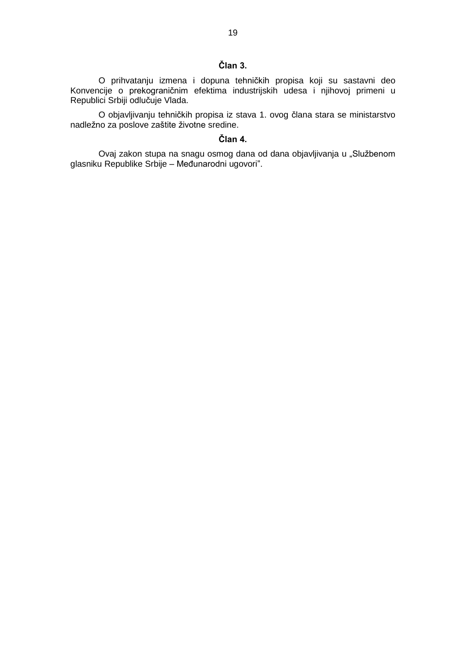# **Član 3.**

O prihvatanju izmena i dopuna tehničkih propisa koji su sastavni deo Konvencije o prekograničnim efektima industrijskih udesa i njihovoj primeni u Republici Srbiji odlučuje Vlada.

O objavljivanju tehničkih propisa iz stava 1. ovog člana stara se ministarstvo nadležno za poslove zaštite životne sredine.

# **Član 4.**

Ovaj zakon stupa na snagu osmog dana od dana objavljivanja u "Službenom glasniku Republike Srbije – Međunarodni ugovori".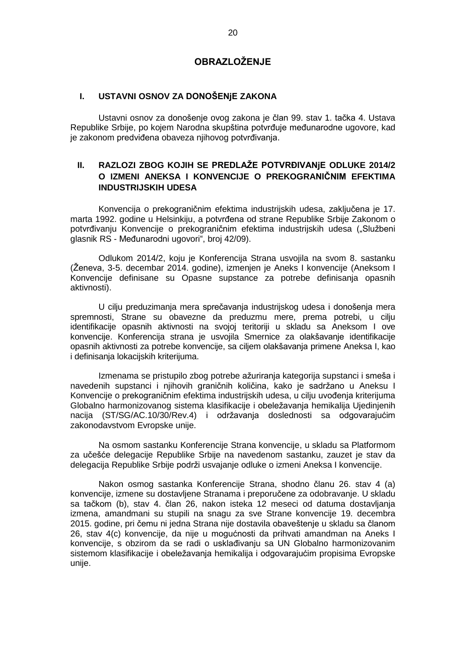# **OBRAZLOŽENJE**

#### **I. USTAVNI OSNOV ZA DONOŠENjE ZAKONA**

Ustavni osnov za donošenje ovog zakona je član 99. stav 1. tačka 4. Ustava Republike Srbije, po kojem Narodna skupština potvrđuje međunarodne ugovore, kad je zakonom predviđena obaveza njihovog potvrđivanja.

# **II. RAZLOZI ZBOG KOJIH SE PREDLAŽE POTVRĐIVANjE ODLUKE 2014/2 O IZMENI ANEKSA I KONVENCIJE O PREKOGRANIČNIM EFEKTIMA INDUSTRIJSKIH UDESA**

Konvencija o prekograničnim efektima industrijskih udesa, zaključena je 17. marta 1992. godine u Helsinkiju, a potvrđena od strane Republike Srbije Zakonom o potvrđivanju Konvencije o prekograničnim efektima industrijskih udesa ("Službeni glasnik RS - Međunarodni ugovori", broj 42/09).

Odlukom 2014/2, koju je Konferencija Strana usvojila na svom 8. sastanku (Ženeva, 3-5. decembar 2014. godine), izmenjen je Aneks I konvencije (Aneksom I Konvencije definisane su Opasne supstance za potrebe definisanja opasnih aktivnosti).

U cilju preduzimanja mera sprečavanja industrijskog udesa i donošenja mera spremnosti, Strane su obavezne da preduzmu mere, prema potrebi, u cilju identifikacije opasnih aktivnosti na svojoj teritoriji u skladu sa Aneksom I ove konvencije. Konferencija strana je usvojila Smernice za olakšavanje identifikacije opasnih aktivnosti za potrebe konvencije, sa ciljem olakšavanja primene Aneksa I, kao i definisanja lokacijskih kriterijuma.

Izmenama se pristupilo zbog potrebe ažuriranja kategorija supstanci i smeša i navedenih supstanci i njihovih graničnih količina, kako je sadržano u Aneksu I Konvencije o prekograničnim efektima industrijskih udesa, u cilju uvođenja kriterijuma Globalno harmonizovanog sistema klasifikacije i obeležavanja hemikalija Ujedinjenih nacija (ST/SG/AC.10/30/Rev.4) i održavanja doslednosti sa odgovarajućim zakonodavstvom Evropske unije.

Na osmom sastanku Konferencije Strana konvencije, u skladu sa Platformom za učešće delegacije Republike Srbije na navedenom sastanku, zauzet je stav da delegacija Republike Srbije podrži usvajanje odluke o izmeni Aneksa I konvencije.

Nakon osmog sastanka Konferencije Strana, shodno članu 26. stav 4 (a) konvencije, izmene su dostavljene Stranama i preporučene za odobravanje. U skladu sa tačkom (b), stav 4. član 26, nakon isteka 12 meseci od datuma dostavljanja izmena, amandmani su stupili na snagu za sve Strane konvencije 19. decembra 2015. godine, pri čemu ni jedna Strana nije dostavila obaveštenje u skladu sa članom 26, stav 4(c) konvencije, da nije u mogućnosti da prihvati amandman na Aneks I konvencije, s obzirom da se radi o usklađivanju sa UN Globalno harmonizovanim sistemom klasifikacije i obeležavanja hemikalija i odgovarajućim propisima Evropske unije.